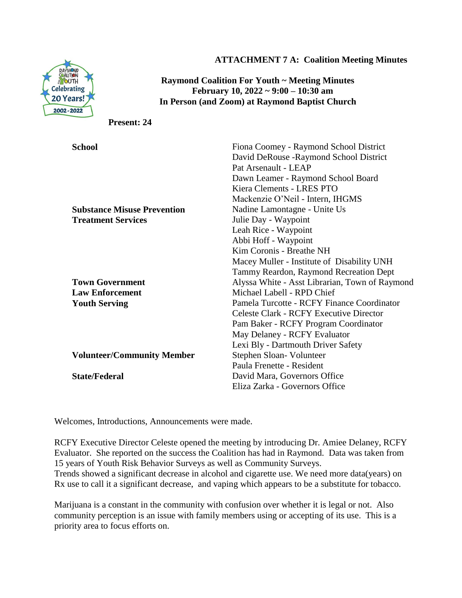

**ATTACHMENT 7 A: Coalition Meeting Minutes**

**Raymond Coalition For Youth ~ Meeting Minutes February 10, 2022 ~ 9:00 – 10:30 am In Person (and Zoom) at Raymond Baptist Church** 

**Present: 24**

| <b>School</b>                      | Fiona Coomey - Raymond School District         |
|------------------------------------|------------------------------------------------|
|                                    | David DeRouse - Raymond School District        |
|                                    | Pat Arsenault - LEAP                           |
|                                    | Dawn Leamer - Raymond School Board             |
|                                    | Kiera Clements - LRES PTO                      |
|                                    | Mackenzie O'Neil - Intern, IHGMS               |
| <b>Substance Misuse Prevention</b> | Nadine Lamontagne - Unite Us                   |
| <b>Treatment Services</b>          | Julie Day - Waypoint                           |
|                                    | Leah Rice - Waypoint                           |
|                                    | Abbi Hoff - Waypoint                           |
|                                    | Kim Coronis - Breathe NH                       |
|                                    | Macey Muller - Institute of Disability UNH     |
|                                    | Tammy Reardon, Raymond Recreation Dept         |
| <b>Town Government</b>             | Alyssa White - Asst Librarian, Town of Raymond |
| <b>Law Enforcement</b>             | Michael Labell - RPD Chief                     |
| <b>Youth Serving</b>               | Pamela Turcotte - RCFY Finance Coordinator     |
|                                    | <b>Celeste Clark - RCFY Executive Director</b> |
|                                    | Pam Baker - RCFY Program Coordinator           |
|                                    | May Delaney - RCFY Evaluator                   |
|                                    | Lexi Bly - Dartmouth Driver Safety             |
| <b>Volunteer/Community Member</b>  | Stephen Sloan-Volunteer                        |
|                                    | Paula Frenette - Resident                      |
| <b>State/Federal</b>               | David Mara, Governors Office                   |
|                                    | Eliza Zarka - Governors Office                 |

Welcomes, Introductions, Announcements were made.

RCFY Executive Director Celeste opened the meeting by introducing Dr. Amiee Delaney, RCFY Evaluator. She reported on the success the Coalition has had in Raymond. Data was taken from 15 years of Youth Risk Behavior Surveys as well as Community Surveys.

Trends showed a significant decrease in alcohol and cigarette use. We need more data(years) on Rx use to call it a significant decrease, and vaping which appears to be a substitute for tobacco.

Marijuana is a constant in the community with confusion over whether it is legal or not. Also community perception is an issue with family members using or accepting of its use. This is a priority area to focus efforts on.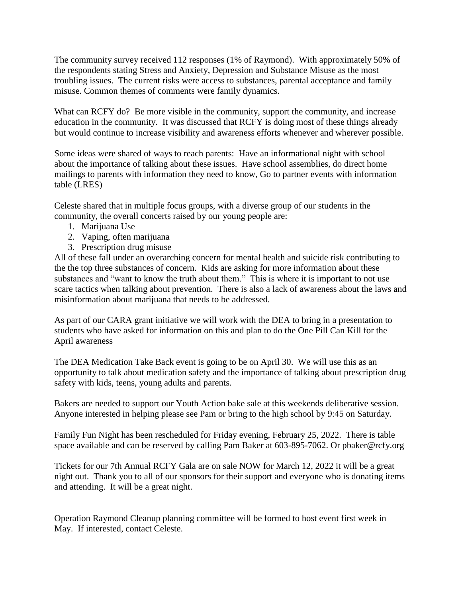The community survey received 112 responses (1% of Raymond). With approximately 50% of the respondents stating Stress and Anxiety, Depression and Substance Misuse as the most troubling issues. The current risks were access to substances, parental acceptance and family misuse. Common themes of comments were family dynamics.

What can RCFY do? Be more visible in the community, support the community, and increase education in the community. It was discussed that RCFY is doing most of these things already but would continue to increase visibility and awareness efforts whenever and wherever possible.

Some ideas were shared of ways to reach parents: Have an informational night with school about the importance of talking about these issues. Have school assemblies, do direct home mailings to parents with information they need to know, Go to partner events with information table (LRES)

Celeste shared that in multiple focus groups, with a diverse group of our students in the community, the overall concerts raised by our young people are:

- 1. Marijuana Use
- 2. Vaping, often marijuana
- 3. Prescription drug misuse

All of these fall under an overarching concern for mental health and suicide risk contributing to the the top three substances of concern. Kids are asking for more information about these substances and "want to know the truth about them." This is where it is important to not use scare tactics when talking about prevention. There is also a lack of awareness about the laws and misinformation about marijuana that needs to be addressed.

As part of our CARA grant initiative we will work with the DEA to bring in a presentation to students who have asked for information on this and plan to do the One Pill Can Kill for the April awareness

The DEA Medication Take Back event is going to be on April 30. We will use this as an opportunity to talk about medication safety and the importance of talking about prescription drug safety with kids, teens, young adults and parents.

Bakers are needed to support our Youth Action bake sale at this weekends deliberative session. Anyone interested in helping please see Pam or bring to the high school by 9:45 on Saturday.

Family Fun Night has been rescheduled for Friday evening, February 25, 2022. There is table space available and can be reserved by calling Pam Baker at 603-895-7062. Or pbaker@rcfy.org

Tickets for our 7th Annual RCFY Gala are on sale NOW for March 12, 2022 it will be a great night out. Thank you to all of our sponsors for their support and everyone who is donating items and attending. It will be a great night.

Operation Raymond Cleanup planning committee will be formed to host event first week in May. If interested, contact Celeste.